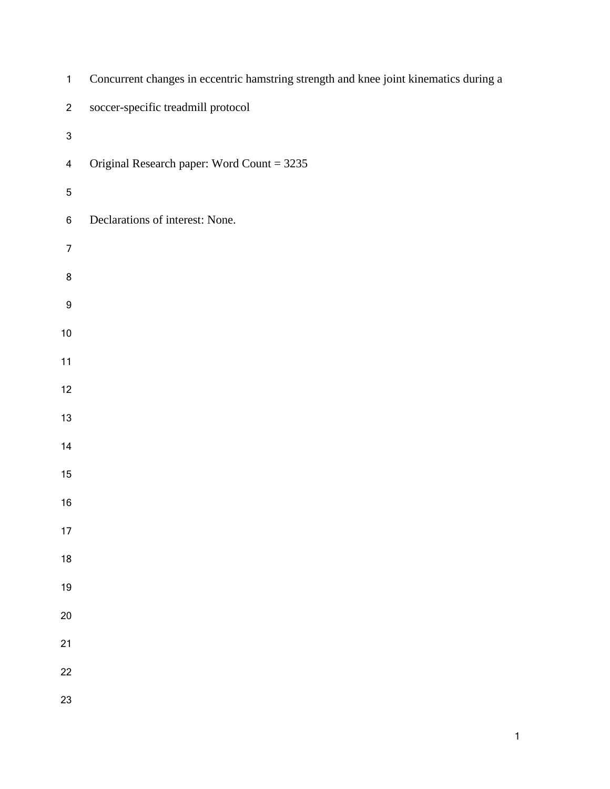| $\mathbf{1}$              | Concurrent changes in eccentric hamstring strength and knee joint kinematics during a |
|---------------------------|---------------------------------------------------------------------------------------|
| $\overline{c}$            | soccer-specific treadmill protocol                                                    |
| $\ensuremath{\mathsf{3}}$ |                                                                                       |
| $\overline{\mathbf{4}}$   | Original Research paper: Word Count = 3235                                            |
| $\overline{5}$            |                                                                                       |
| $\,6\,$                   | Declarations of interest: None.                                                       |
| $\overline{7}$            |                                                                                       |
| 8                         |                                                                                       |
| $\boldsymbol{9}$          |                                                                                       |
| $10\,$                    |                                                                                       |
| 11                        |                                                                                       |
| 12                        |                                                                                       |
| $13\,$                    |                                                                                       |
| 14                        |                                                                                       |
| 15                        |                                                                                       |
| $16\,$                    |                                                                                       |
| $17$                      |                                                                                       |
| 18                        |                                                                                       |
| 19                        |                                                                                       |
| $20\,$                    |                                                                                       |
| 21                        |                                                                                       |
| 22                        |                                                                                       |
| 23                        |                                                                                       |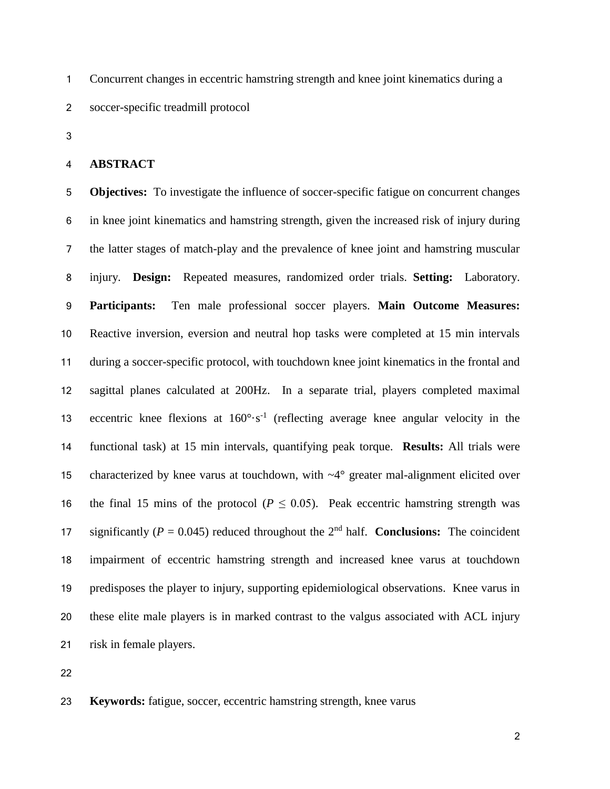Concurrent changes in eccentric hamstring strength and knee joint kinematics during a soccer-specific treadmill protocol

### **ABSTRACT**

 **Objectives:** To investigate the influence of soccer-specific fatigue on concurrent changes in knee joint kinematics and hamstring strength, given the increased risk of injury during the latter stages of match-play and the prevalence of knee joint and hamstring muscular injury. **Design:** Repeated measures, randomized order trials. **Setting:** Laboratory. **Participants:** Ten male professional soccer players. **Main Outcome Measures:**  Reactive inversion, eversion and neutral hop tasks were completed at 15 min intervals during a soccer-specific protocol, with touchdown knee joint kinematics in the frontal and sagittal planes calculated at 200Hz. In a separate trial, players completed maximal 13 eccentric knee flexions at  $160^{\circ} \cdot s^{-1}$  (reflecting average knee angular velocity in the functional task) at 15 min intervals, quantifying peak torque. **Results:** All trials were characterized by knee varus at touchdown, with ~4° greater mal-alignment elicited over 16 the final 15 mins of the protocol ( $P \le 0.05$ ). Peak eccentric hamstring strength was 17 significantly ( $P = 0.045$ ) reduced throughout the 2<sup>nd</sup> half. **Conclusions:** The coincident impairment of eccentric hamstring strength and increased knee varus at touchdown predisposes the player to injury, supporting epidemiological observations. Knee varus in these elite male players is in marked contrast to the valgus associated with ACL injury risk in female players.

### **Keywords:** fatigue, soccer, eccentric hamstring strength, knee varus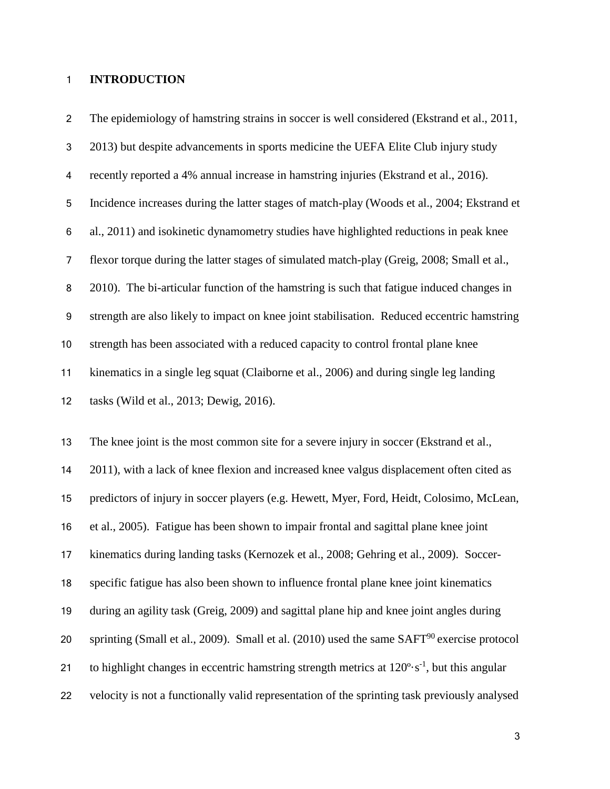### **INTRODUCTION**

 The epidemiology of hamstring strains in soccer is well considered (Ekstrand et al., 2011, 2013) but despite advancements in sports medicine the UEFA Elite Club injury study recently reported a 4% annual increase in hamstring injuries (Ekstrand et al., 2016). Incidence increases during the latter stages of match-play (Woods et al., 2004; Ekstrand et al., 2011) and isokinetic dynamometry studies have highlighted reductions in peak knee flexor torque during the latter stages of simulated match-play (Greig, 2008; Small et al., 2010). The bi-articular function of the hamstring is such that fatigue induced changes in strength are also likely to impact on knee joint stabilisation. Reduced eccentric hamstring strength has been associated with a reduced capacity to control frontal plane knee kinematics in a single leg squat (Claiborne et al., 2006) and during single leg landing tasks (Wild et al., 2013; Dewig, 2016).

 The knee joint is the most common site for a severe injury in soccer (Ekstrand et al., 2011), with a lack of knee flexion and increased knee valgus displacement often cited as predictors of injury in soccer players (e.g. Hewett, Myer, Ford, Heidt, Colosimo, McLean, et al., 2005). Fatigue has been shown to impair frontal and sagittal plane knee joint kinematics during landing tasks (Kernozek et al., 2008; Gehring et al., 2009). Soccer- specific fatigue has also been shown to influence frontal plane knee joint kinematics during an agility task (Greig, 2009) and sagittal plane hip and knee joint angles during 20 sprinting (Small et al., 2009). Small et al. (2010) used the same  $SAFT^{90}$  exercise protocol 21 to highlight changes in eccentric hamstring strength metrics at  $120^\circ \cdot s^{-1}$ , but this angular velocity is not a functionally valid representation of the sprinting task previously analysed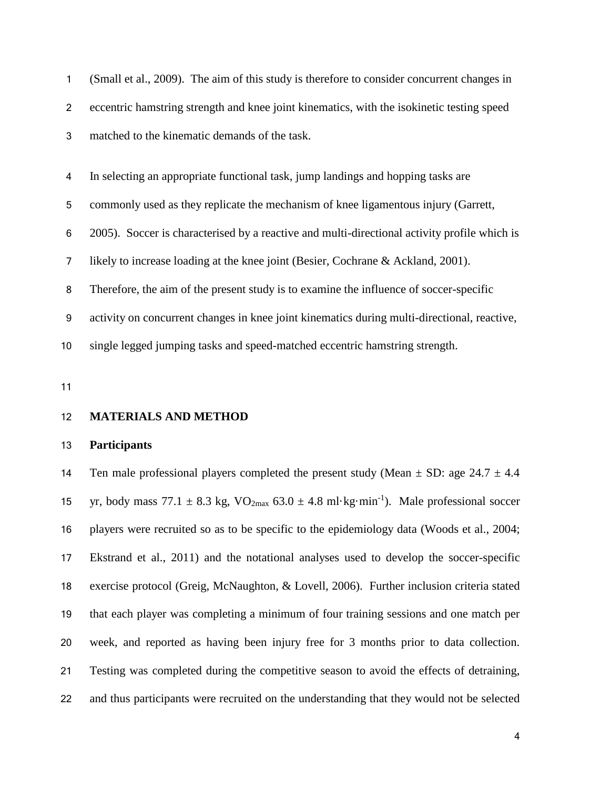| 1              | (Small et al., 2009). The aim of this study is therefore to consider concurrent changes in   |
|----------------|----------------------------------------------------------------------------------------------|
| $\overline{2}$ | eccentric hamstring strength and knee joint kinematics, with the isokinetic testing speed    |
| 3              | matched to the kinematic demands of the task.                                                |
|                |                                                                                              |
| 4              | In selecting an appropriate functional task, jump landings and hopping tasks are             |
| 5              | commonly used as they replicate the mechanism of knee ligamentous injury (Garrett,           |
| 6              | 2005). Soccer is characterised by a reactive and multi-directional activity profile which is |
| 7              | likely to increase loading at the knee joint (Besier, Cochrane & Ackland, 2001).             |
| 8              | Therefore, the aim of the present study is to examine the influence of soccer-specific       |
| 9              | activity on concurrent changes in knee joint kinematics during multi-directional, reactive,  |
| 10             | single legged jumping tasks and speed-matched eccentric hamstring strength.                  |
|                |                                                                                              |

### **MATERIALS AND METHOD**

### **Participants**

14 Ten male professional players completed the present study (Mean  $\pm$  SD: age 24.7  $\pm$  4.4 15 yr, body mass 77.1  $\pm$  8.3 kg, VO<sub>2max</sub> 63.0  $\pm$  4.8 ml·kg·min<sup>-1</sup>). Male professional soccer players were recruited so as to be specific to the epidemiology data (Woods et al., 2004; Ekstrand et al., 2011) and the notational analyses used to develop the soccer-specific exercise protocol (Greig, McNaughton, & Lovell, 2006). Further inclusion criteria stated that each player was completing a minimum of four training sessions and one match per week, and reported as having been injury free for 3 months prior to data collection. Testing was completed during the competitive season to avoid the effects of detraining, and thus participants were recruited on the understanding that they would not be selected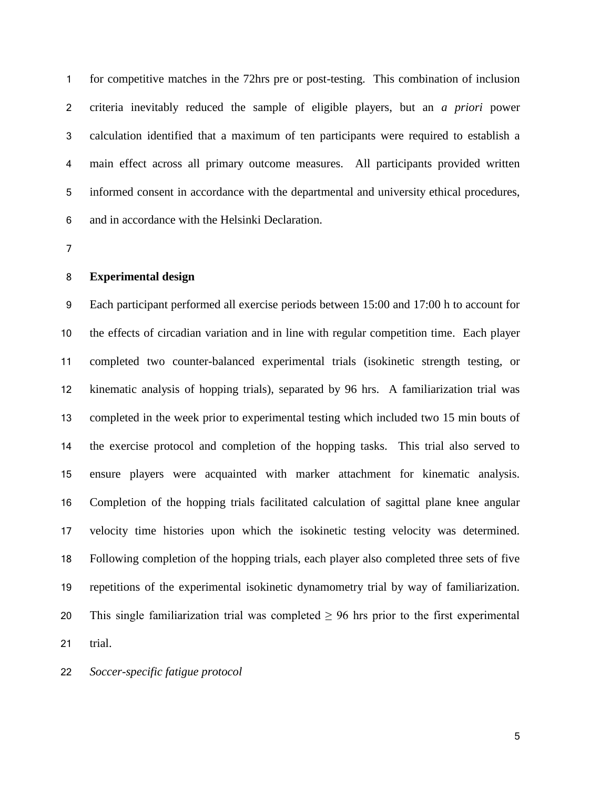for competitive matches in the 72hrs pre or post-testing. This combination of inclusion criteria inevitably reduced the sample of eligible players, but an *a priori* power calculation identified that a maximum of ten participants were required to establish a main effect across all primary outcome measures. All participants provided written informed consent in accordance with the departmental and university ethical procedures, and in accordance with the Helsinki Declaration.

#### **Experimental design**

 Each participant performed all exercise periods between 15:00 and 17:00 h to account for the effects of circadian variation and in line with regular competition time. Each player completed two counter-balanced experimental trials (isokinetic strength testing, or kinematic analysis of hopping trials), separated by 96 hrs. A familiarization trial was completed in the week prior to experimental testing which included two 15 min bouts of the exercise protocol and completion of the hopping tasks. This trial also served to ensure players were acquainted with marker attachment for kinematic analysis. Completion of the hopping trials facilitated calculation of sagittal plane knee angular velocity time histories upon which the isokinetic testing velocity was determined. Following completion of the hopping trials, each player also completed three sets of five repetitions of the experimental isokinetic dynamometry trial by way of familiarization. 20 This single familiarization trial was completed  $\geq$  96 hrs prior to the first experimental trial.

*Soccer-specific fatigue protocol*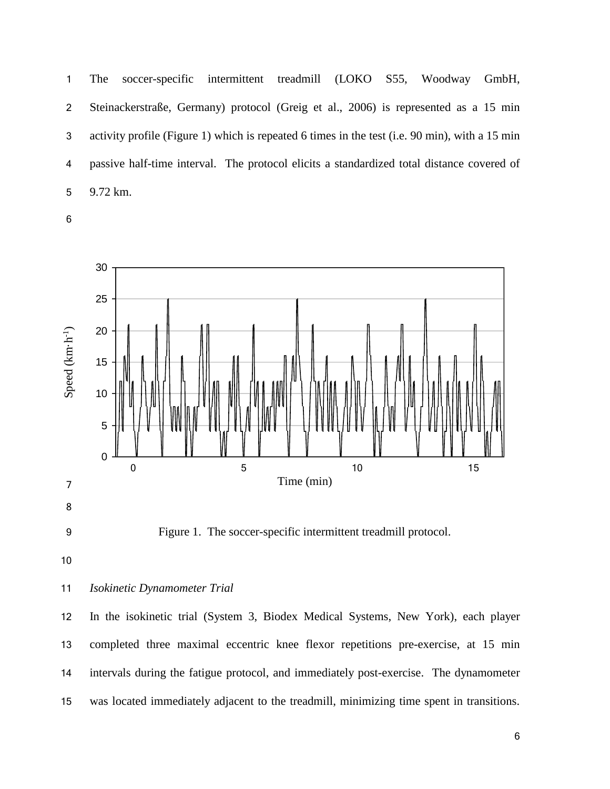The soccer-specific intermittent treadmill (LOKO S55, Woodway GmbH, Steinackerstraße, Germany) protocol (Greig et al., 2006) is represented as a 15 min activity profile (Figure 1) which is repeated 6 times in the test (i.e. 90 min), with a 15 min passive half-time interval. The protocol elicits a standardized total distance covered of 9.72 km.



Figure 1. The soccer-specific intermittent treadmill protocol.

## *Isokinetic Dynamometer Trial*

 In the isokinetic trial (System 3, Biodex Medical Systems, New York), each player completed three maximal eccentric knee flexor repetitions pre-exercise, at 15 min intervals during the fatigue protocol, and immediately post-exercise. The dynamometer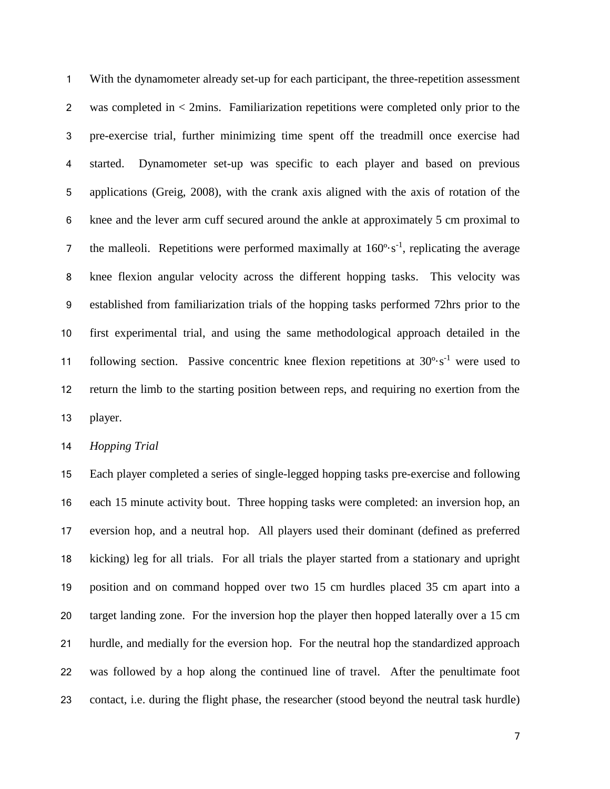With the dynamometer already set-up for each participant, the three-repetition assessment was completed in < 2mins. Familiarization repetitions were completed only prior to the pre-exercise trial, further minimizing time spent off the treadmill once exercise had started. Dynamometer set-up was specific to each player and based on previous applications (Greig, 2008), with the crank axis aligned with the axis of rotation of the knee and the lever arm cuff secured around the ankle at approximately 5 cm proximal to 7 the malleoli. Repetitions were performed maximally at  $160^{\circ} \cdot s^{-1}$ , replicating the average knee flexion angular velocity across the different hopping tasks. This velocity was established from familiarization trials of the hopping tasks performed 72hrs prior to the first experimental trial, and using the same methodological approach detailed in the 11 following section. Passive concentric knee flexion repetitions at  $30^{\circ} \text{ s}^{-1}$  were used to return the limb to the starting position between reps, and requiring no exertion from the player.

*Hopping Trial*

 Each player completed a series of single-legged hopping tasks pre-exercise and following each 15 minute activity bout. Three hopping tasks were completed: an inversion hop, an eversion hop, and a neutral hop. All players used their dominant (defined as preferred kicking) leg for all trials. For all trials the player started from a stationary and upright position and on command hopped over two 15 cm hurdles placed 35 cm apart into a target landing zone. For the inversion hop the player then hopped laterally over a 15 cm hurdle, and medially for the eversion hop. For the neutral hop the standardized approach was followed by a hop along the continued line of travel. After the penultimate foot contact, i.e. during the flight phase, the researcher (stood beyond the neutral task hurdle)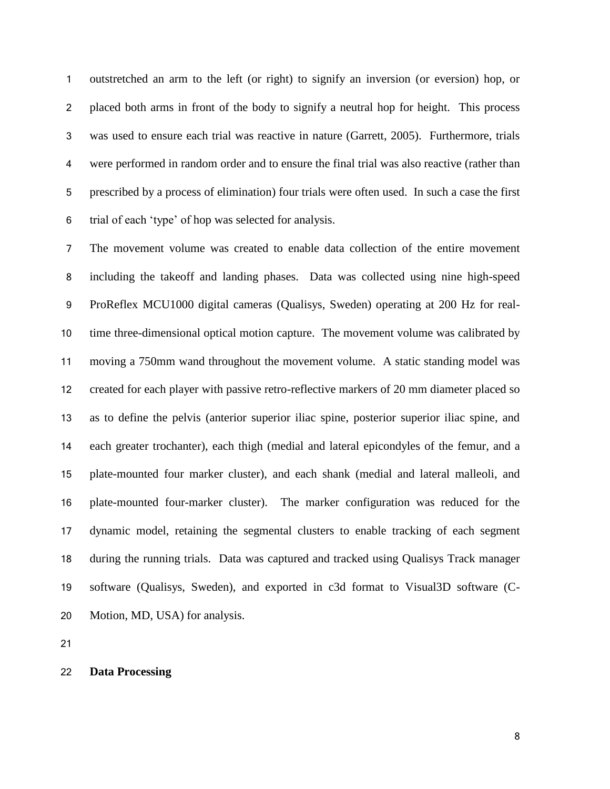outstretched an arm to the left (or right) to signify an inversion (or eversion) hop, or placed both arms in front of the body to signify a neutral hop for height. This process was used to ensure each trial was reactive in nature (Garrett, 2005). Furthermore, trials were performed in random order and to ensure the final trial was also reactive (rather than prescribed by a process of elimination) four trials were often used. In such a case the first trial of each 'type' of hop was selected for analysis.

 The movement volume was created to enable data collection of the entire movement including the takeoff and landing phases. Data was collected using nine high-speed ProReflex MCU1000 digital cameras (Qualisys, Sweden) operating at 200 Hz for real- time three-dimensional optical motion capture. The movement volume was calibrated by moving a 750mm wand throughout the movement volume. A static standing model was created for each player with passive retro-reflective markers of 20 mm diameter placed so as to define the pelvis (anterior superior iliac spine, posterior superior iliac spine, and each greater trochanter), each thigh (medial and lateral epicondyles of the femur, and a plate-mounted four marker cluster), and each shank (medial and lateral malleoli, and plate-mounted four-marker cluster). The marker configuration was reduced for the dynamic model, retaining the segmental clusters to enable tracking of each segment during the running trials. Data was captured and tracked using Qualisys Track manager software (Qualisys, Sweden), and exported in c3d format to Visual3D software (C-Motion, MD, USA) for analysis.

**Data Processing**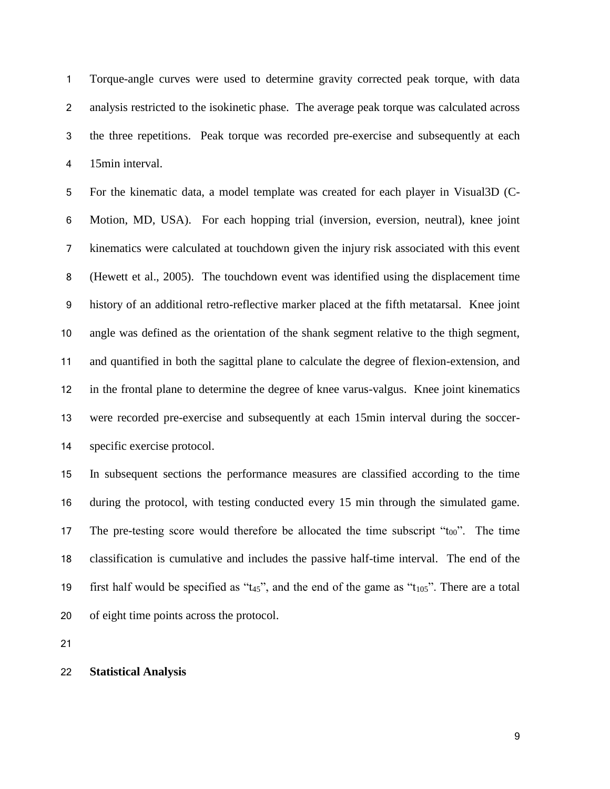Torque-angle curves were used to determine gravity corrected peak torque, with data analysis restricted to the isokinetic phase. The average peak torque was calculated across the three repetitions. Peak torque was recorded pre-exercise and subsequently at each 15min interval.

 For the kinematic data, a model template was created for each player in Visual3D (C- Motion, MD, USA). For each hopping trial (inversion, eversion, neutral), knee joint kinematics were calculated at touchdown given the injury risk associated with this event (Hewett et al., 2005). The touchdown event was identified using the displacement time history of an additional retro-reflective marker placed at the fifth metatarsal. Knee joint angle was defined as the orientation of the shank segment relative to the thigh segment, and quantified in both the sagittal plane to calculate the degree of flexion-extension, and in the frontal plane to determine the degree of knee varus-valgus. Knee joint kinematics were recorded pre-exercise and subsequently at each 15min interval during the soccer-specific exercise protocol.

 In subsequent sections the performance measures are classified according to the time during the protocol, with testing conducted every 15 min through the simulated game. 17 The pre-testing score would therefore be allocated the time subscript " $t_{00}$ ". The time classification is cumulative and includes the passive half-time interval. The end of the 19 first half would be specified as " $t_{45}$ ", and the end of the game as " $t_{105}$ ". There are a total of eight time points across the protocol.

#### **Statistical Analysis**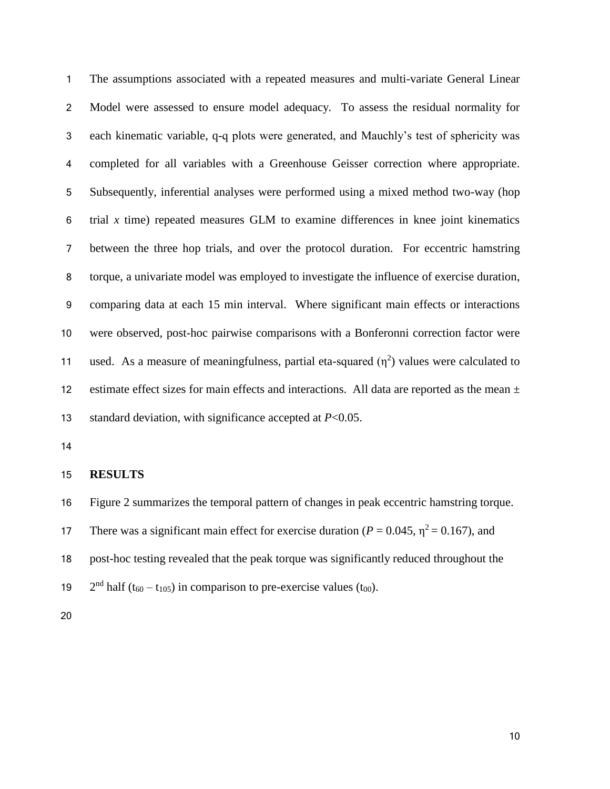The assumptions associated with a repeated measures and multi-variate General Linear Model were assessed to ensure model adequacy. To assess the residual normality for each kinematic variable, q-q plots were generated, and Mauchly's test of sphericity was completed for all variables with a Greenhouse Geisser correction where appropriate. Subsequently, inferential analyses were performed using a mixed method two-way (hop trial *x* time) repeated measures GLM to examine differences in knee joint kinematics between the three hop trials, and over the protocol duration. For eccentric hamstring torque, a univariate model was employed to investigate the influence of exercise duration, comparing data at each 15 min interval. Where significant main effects or interactions were observed, post-hoc pairwise comparisons with a Bonferonni correction factor were 11 used. As a measure of meaningfulness, partial eta-squared  $(\eta^2)$  values were calculated to 12 estimate effect sizes for main effects and interactions. All data are reported as the mean  $\pm$ standard deviation, with significance accepted at *P*<0.05.

#### **RESULTS**

Figure 2 summarizes the temporal pattern of changes in peak eccentric hamstring torque.

17 There was a significant main effect for exercise duration ( $P = 0.045$ ,  $\eta^2 = 0.167$ ), and

post-hoc testing revealed that the peak torque was significantly reduced throughout the

19  $2<sup>nd</sup>$  half (t<sub>60</sub> – t<sub>105</sub>) in comparison to pre-exercise values (t<sub>00</sub>).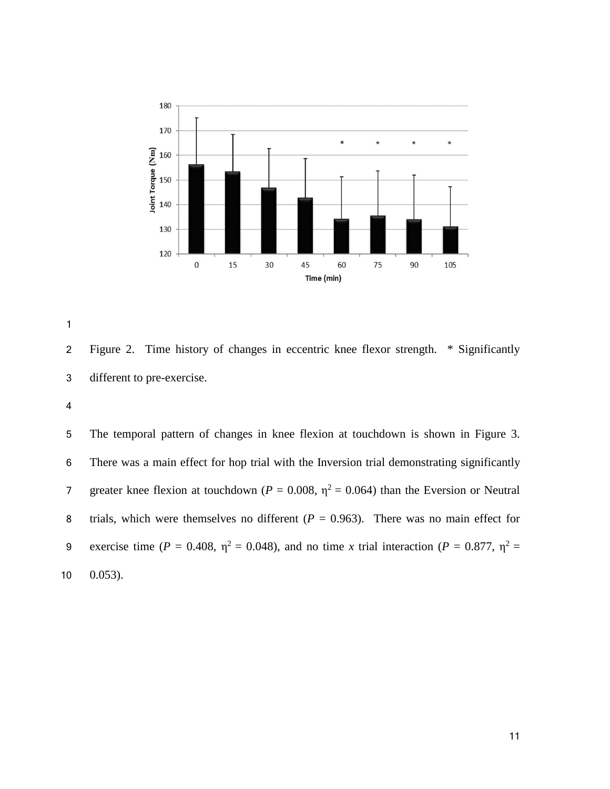

 Figure 2. Time history of changes in eccentric knee flexor strength. \* Significantly different to pre-exercise.

 The temporal pattern of changes in knee flexion at touchdown is shown in Figure 3. There was a main effect for hop trial with the Inversion trial demonstrating significantly 7 greater knee flexion at touchdown ( $P = 0.008$ ,  $\eta^2 = 0.064$ ) than the Eversion or Neutral 8 trials, which were themselves no different  $(P = 0.963)$ . There was no main effect for 9 exercise time ( $P = 0.408$ ,  $\eta^2 = 0.048$ ), and no time *x* trial interaction ( $P = 0.877$ ,  $\eta^2 =$ 0.053).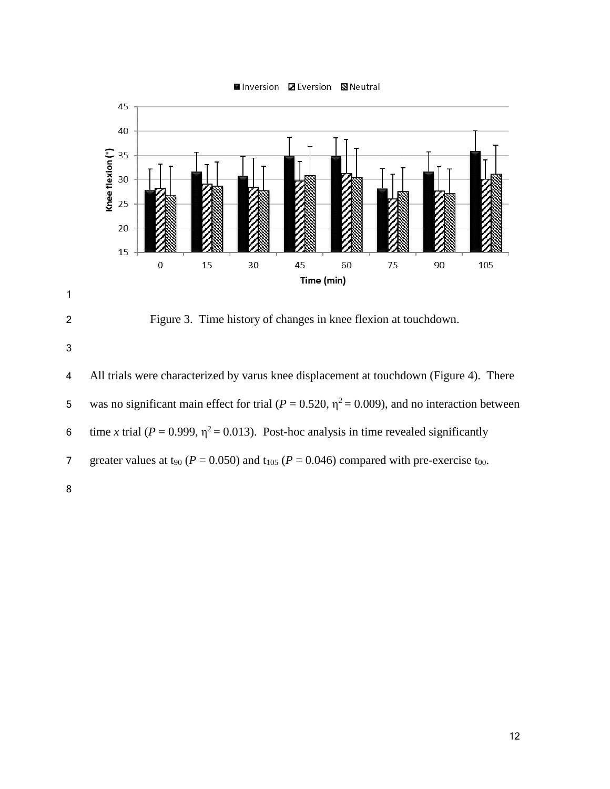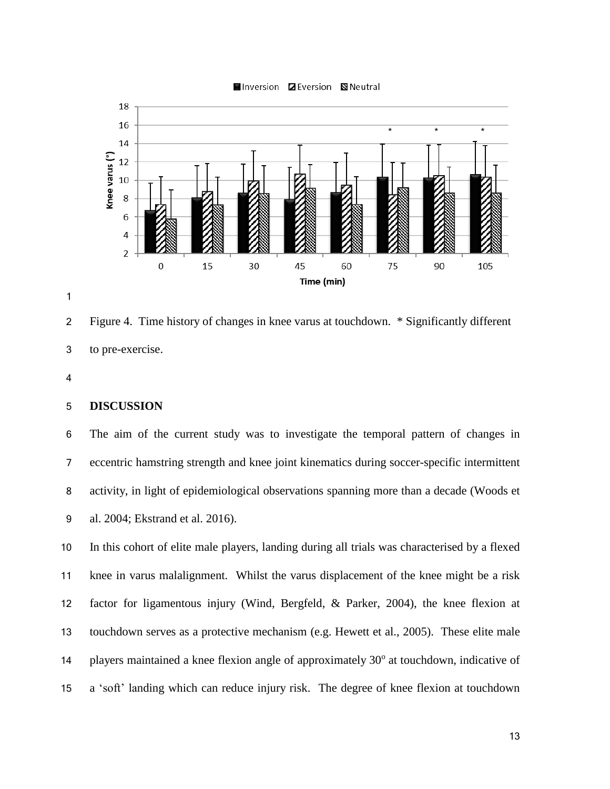

 Figure 4. Time history of changes in knee varus at touchdown. \* Significantly different to pre-exercise.

### **DISCUSSION**

 The aim of the current study was to investigate the temporal pattern of changes in eccentric hamstring strength and knee joint kinematics during soccer-specific intermittent activity, in light of epidemiological observations spanning more than a decade (Woods et al. 2004; Ekstrand et al. 2016).

 In this cohort of elite male players, landing during all trials was characterised by a flexed knee in varus malalignment. Whilst the varus displacement of the knee might be a risk factor for ligamentous injury (Wind, Bergfeld, & Parker, 2004), the knee flexion at touchdown serves as a protective mechanism (e.g. Hewett et al., 2005). These elite male 14 players maintained a knee flexion angle of approximately  $30^{\circ}$  at touchdown, indicative of a 'soft' landing which can reduce injury risk. The degree of knee flexion at touchdown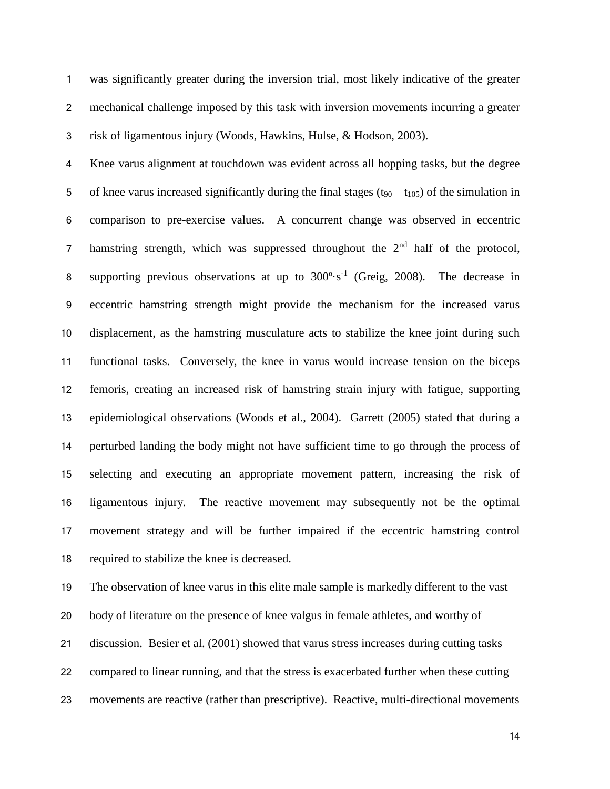was significantly greater during the inversion trial, most likely indicative of the greater mechanical challenge imposed by this task with inversion movements incurring a greater risk of ligamentous injury (Woods, Hawkins, Hulse, & Hodson, 2003).

 Knee varus alignment at touchdown was evident across all hopping tasks, but the degree 5 of knee varus increased significantly during the final stages  $(t_{90} - t_{105})$  of the simulation in comparison to pre-exercise values. A concurrent change was observed in eccentric 7 hamstring strength, which was suppressed throughout the  $2<sup>nd</sup>$  half of the protocol, 8 supporting previous observations at up to  $300^\circ \cdot s^{-1}$  (Greig, 2008). The decrease in eccentric hamstring strength might provide the mechanism for the increased varus displacement, as the hamstring musculature acts to stabilize the knee joint during such functional tasks. Conversely, the knee in varus would increase tension on the biceps femoris, creating an increased risk of hamstring strain injury with fatigue, supporting epidemiological observations (Woods et al., 2004). Garrett (2005) stated that during a perturbed landing the body might not have sufficient time to go through the process of selecting and executing an appropriate movement pattern, increasing the risk of ligamentous injury. The reactive movement may subsequently not be the optimal movement strategy and will be further impaired if the eccentric hamstring control required to stabilize the knee is decreased.

 The observation of knee varus in this elite male sample is markedly different to the vast body of literature on the presence of knee valgus in female athletes, and worthy of discussion. Besier et al. (2001) showed that varus stress increases during cutting tasks compared to linear running, and that the stress is exacerbated further when these cutting movements are reactive (rather than prescriptive). Reactive, multi-directional movements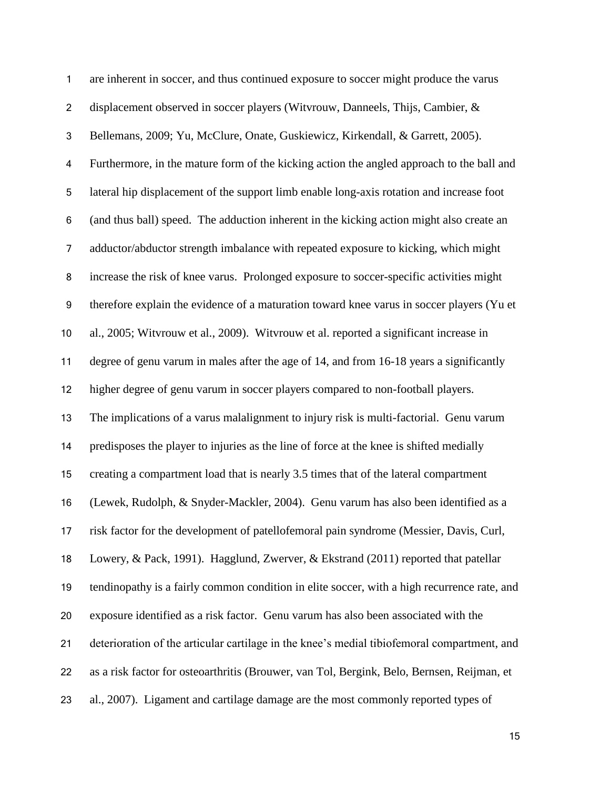| 1                | are inherent in soccer, and thus continued exposure to soccer might produce the varus       |
|------------------|---------------------------------------------------------------------------------------------|
| $\overline{c}$   | displacement observed in soccer players (Witvrouw, Danneels, Thijs, Cambier, &              |
| $\mathfrak{S}$   | Bellemans, 2009; Yu, McClure, Onate, Guskiewicz, Kirkendall, & Garrett, 2005).              |
| 4                | Furthermore, in the mature form of the kicking action the angled approach to the ball and   |
| $\mathbf 5$      | lateral hip displacement of the support limb enable long-axis rotation and increase foot    |
| 6                | (and thus ball) speed. The adduction inherent in the kicking action might also create an    |
| $\overline{7}$   | adductor/abductor strength imbalance with repeated exposure to kicking, which might         |
| $\bf 8$          | increase the risk of knee varus. Prolonged exposure to soccer-specific activities might     |
| $\boldsymbol{9}$ | therefore explain the evidence of a maturation toward knee varus in soccer players (Yu et   |
| 10               | al., 2005; Witvrouw et al., 2009). Witvrouw et al. reported a significant increase in       |
| 11               | degree of genu varum in males after the age of 14, and from 16-18 years a significantly     |
| 12               | higher degree of genu varum in soccer players compared to non-football players.             |
| 13               | The implications of a varus malalignment to injury risk is multi-factorial. Genu varum      |
| 14               | predisposes the player to injuries as the line of force at the knee is shifted medially     |
| 15               | creating a compartment load that is nearly 3.5 times that of the lateral compartment        |
| 16               | (Lewek, Rudolph, & Snyder-Mackler, 2004). Genu varum has also been identified as a          |
| 17               | risk factor for the development of patellofemoral pain syndrome (Messier, Davis, Curl,      |
| 18               | Lowery, & Pack, 1991). Hagglund, Zwerver, & Ekstrand (2011) reported that patellar          |
| 19               | tendinopathy is a fairly common condition in elite soccer, with a high recurrence rate, and |
| 20               | exposure identified as a risk factor. Genu varum has also been associated with the          |
| 21               | deterioration of the articular cartilage in the knee's medial tibiofemoral compartment, and |
| 22               | as a risk factor for osteoarthritis (Brouwer, van Tol, Bergink, Belo, Bernsen, Reijman, et  |
| 23               | al., 2007). Ligament and cartilage damage are the most commonly reported types of           |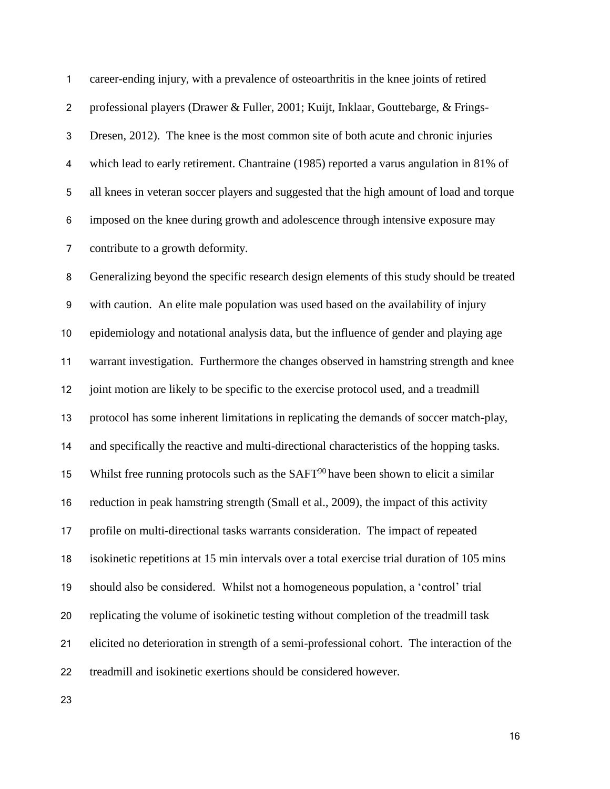career-ending injury, with a prevalence of osteoarthritis in the knee joints of retired professional players (Drawer & Fuller, 2001; Kuijt, Inklaar, Gouttebarge, & Frings- Dresen, 2012). The knee is the most common site of both acute and chronic injuries which lead to early retirement. Chantraine (1985) reported a varus angulation in 81% of all knees in veteran soccer players and suggested that the high amount of load and torque imposed on the knee during growth and adolescence through intensive exposure may contribute to a growth deformity.

 Generalizing beyond the specific research design elements of this study should be treated with caution. An elite male population was used based on the availability of injury epidemiology and notational analysis data, but the influence of gender and playing age warrant investigation. Furthermore the changes observed in hamstring strength and knee 12 joint motion are likely to be specific to the exercise protocol used, and a treadmill protocol has some inherent limitations in replicating the demands of soccer match-play, and specifically the reactive and multi-directional characteristics of the hopping tasks. 15 Whilst free running protocols such as the  $SAFT<sup>90</sup>$  have been shown to elicit a similar reduction in peak hamstring strength (Small et al., 2009), the impact of this activity profile on multi-directional tasks warrants consideration. The impact of repeated isokinetic repetitions at 15 min intervals over a total exercise trial duration of 105 mins should also be considered. Whilst not a homogeneous population, a 'control' trial replicating the volume of isokinetic testing without completion of the treadmill task elicited no deterioration in strength of a semi-professional cohort. The interaction of the treadmill and isokinetic exertions should be considered however.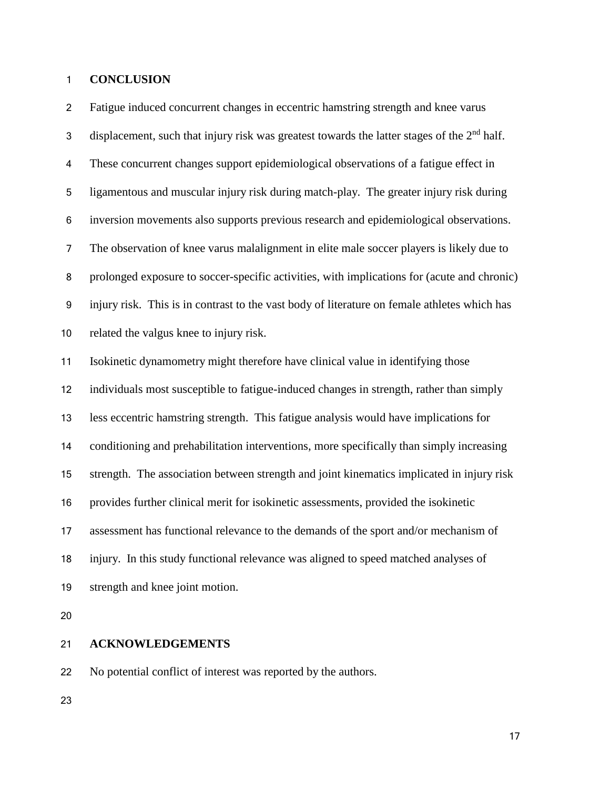### **CONCLUSION**

 Fatigue induced concurrent changes in eccentric hamstring strength and knee varus displacement, such that injury risk was greatest towards the latter stages of the  $2<sup>nd</sup>$  half. These concurrent changes support epidemiological observations of a fatigue effect in ligamentous and muscular injury risk during match-play. The greater injury risk during inversion movements also supports previous research and epidemiological observations. The observation of knee varus malalignment in elite male soccer players is likely due to prolonged exposure to soccer-specific activities, with implications for (acute and chronic) injury risk. This is in contrast to the vast body of literature on female athletes which has related the valgus knee to injury risk. Isokinetic dynamometry might therefore have clinical value in identifying those individuals most susceptible to fatigue-induced changes in strength, rather than simply less eccentric hamstring strength. This fatigue analysis would have implications for conditioning and prehabilitation interventions, more specifically than simply increasing strength. The association between strength and joint kinematics implicated in injury risk provides further clinical merit for isokinetic assessments, provided the isokinetic assessment has functional relevance to the demands of the sport and/or mechanism of injury. In this study functional relevance was aligned to speed matched analyses of strength and knee joint motion.

### **ACKNOWLEDGEMENTS**

No potential conflict of interest was reported by the authors.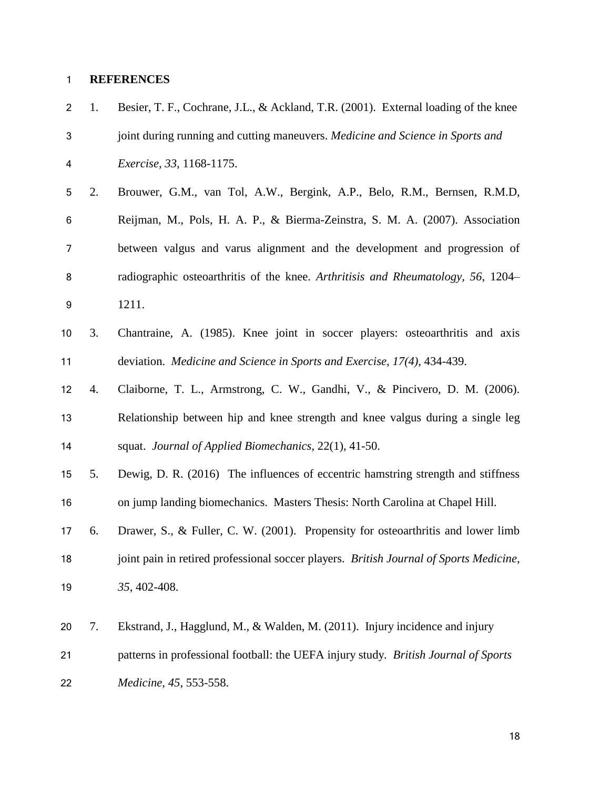# **REFERENCES**

| $\overline{c}$   | 1. | Besier, T. F., Cochrane, J.L., & Ackland, T.R. (2001). External loading of the knee    |
|------------------|----|----------------------------------------------------------------------------------------|
| $\mathbf{3}$     |    | joint during running and cutting maneuvers. Medicine and Science in Sports and         |
| 4                |    | Exercise, 33, 1168-1175.                                                               |
| 5                | 2. | Brouwer, G.M., van Tol, A.W., Bergink, A.P., Belo, R.M., Bernsen, R.M.D,               |
| 6                |    | Reijman, M., Pols, H. A. P., & Bierma-Zeinstra, S. M. A. (2007). Association           |
| 7                |    | between valgus and varus alignment and the development and progression of              |
| 8                |    | radiographic osteoarthritis of the knee. Arthritisis and Rheumatology, 56, 1204–       |
| $\boldsymbol{9}$ |    | 1211.                                                                                  |
| 10               | 3. | Chantraine, A. (1985). Knee joint in soccer players: osteoarthritis and axis           |
| 11               |    | deviation. Medicine and Science in Sports and Exercise, 17(4), 434-439.                |
| 12               | 4. | Claiborne, T. L., Armstrong, C. W., Gandhi, V., & Pincivero, D. M. (2006).             |
| 13               |    | Relationship between hip and knee strength and knee valgus during a single leg         |
| 14               |    | squat. Journal of Applied Biomechanics, 22(1), 41-50.                                  |
| 15               | 5. | Dewig, D. R. (2016) The influences of eccentric hamstring strength and stiffness       |
| 16               |    | on jump landing biomechanics. Masters Thesis: North Carolina at Chapel Hill.           |
| 17               | 6. | Drawer, S., & Fuller, C. W. (2001). Propensity for osteoarthritis and lower limb       |
| 18               |    | joint pain in retired professional soccer players. British Journal of Sports Medicine, |
| 19               |    | 35, 402-408.                                                                           |
| 20               | 7. | Ekstrand, J., Hagglund, M., & Walden, M. (2011). Injury incidence and injury           |
|                  |    |                                                                                        |
| 21               |    | patterns in professional football: the UEFA injury study. British Journal of Sports    |
| 22               |    | Medicine, 45, 553-558.                                                                 |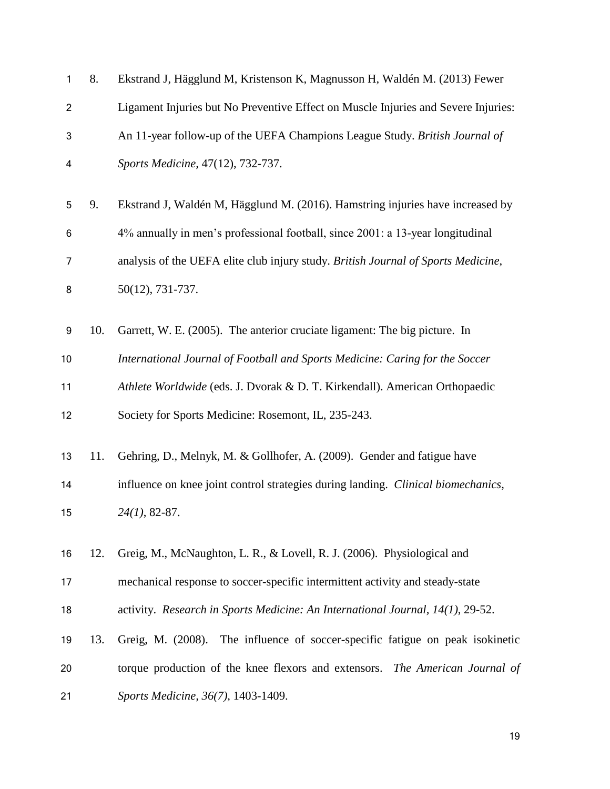| 1                | 8.  | Ekstrand J, Hägglund M, Kristenson K, Magnusson H, Waldén M. (2013) Fewer          |
|------------------|-----|------------------------------------------------------------------------------------|
| $\overline{c}$   |     | Ligament Injuries but No Preventive Effect on Muscle Injuries and Severe Injuries: |
| 3                |     | An 11-year follow-up of the UEFA Champions League Study. British Journal of        |
| 4                |     | Sports Medicine, 47(12), 732-737.                                                  |
| 5                | 9.  | Ekstrand J, Waldén M, Hägglund M. (2016). Hamstring injuries have increased by     |
| 6                |     | 4% annually in men's professional football, since 2001: a 13-year longitudinal     |
| 7                |     | analysis of the UEFA elite club injury study. British Journal of Sports Medicine,  |
| 8                |     | 50(12), 731-737.                                                                   |
| $\boldsymbol{9}$ | 10. | Garrett, W. E. (2005). The anterior cruciate ligament: The big picture. In         |
| 10               |     | International Journal of Football and Sports Medicine: Caring for the Soccer       |
| 11               |     | Athlete Worldwide (eds. J. Dvorak & D. T. Kirkendall). American Orthopaedic        |
| 12               |     | Society for Sports Medicine: Rosemont, IL, 235-243.                                |
| 13               | 11. | Gehring, D., Melnyk, M. & Gollhofer, A. (2009). Gender and fatigue have            |
| 14               |     | influence on knee joint control strategies during landing. Clinical biomechanics,  |
| 15               |     | $24(1)$ , 82-87.                                                                   |
| 16               | 12. | Greig, M., McNaughton, L. R., & Lovell, R. J. (2006). Physiological and            |
| 17               |     | mechanical response to soccer-specific intermittent activity and steady-state      |
| 18               |     | activity. Research in Sports Medicine: An International Journal, 14(1), 29-52.     |
| 19               | 13. | Greig, M. (2008). The influence of soccer-specific fatigue on peak isokinetic      |
| 20               |     | torque production of the knee flexors and extensors. The American Journal of       |
| 21               |     | Sports Medicine, 36(7), 1403-1409.                                                 |
|                  |     |                                                                                    |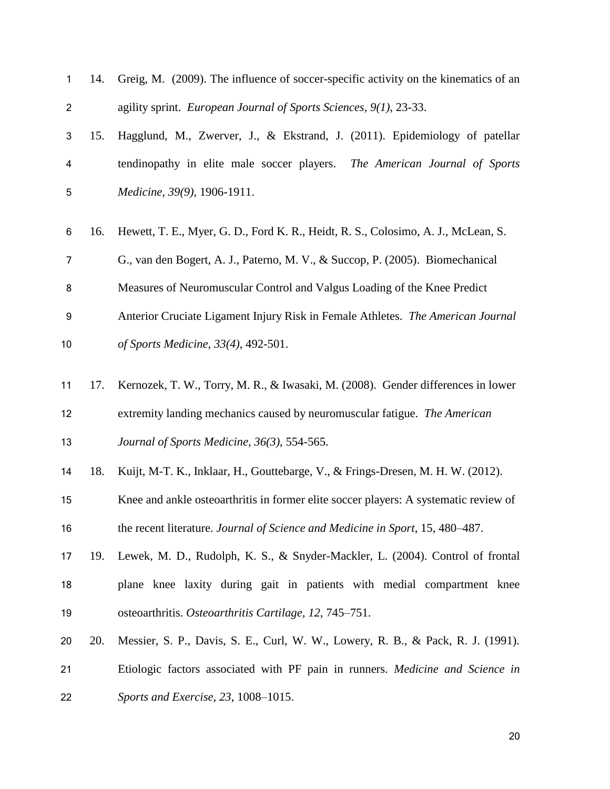| 1                         | 14. | Greig, M. (2009). The influence of soccer-specific activity on the kinematics of an  |
|---------------------------|-----|--------------------------------------------------------------------------------------|
| $\overline{2}$            |     | agility sprint. European Journal of Sports Sciences, 9(1), 23-33.                    |
| $\ensuremath{\mathsf{3}}$ | 15. | Hagglund, M., Zwerver, J., & Ekstrand, J. (2011). Epidemiology of patellar           |
| 4                         |     | tendinopathy in elite male soccer players.<br>The American Journal of Sports         |
| 5                         |     | Medicine, 39(9), 1906-1911.                                                          |
| 6                         | 16. | Hewett, T. E., Myer, G. D., Ford K. R., Heidt, R. S., Colosimo, A. J., McLean, S.    |
| 7                         |     | G., van den Bogert, A. J., Paterno, M. V., & Succop, P. (2005). Biomechanical        |
| 8                         |     | Measures of Neuromuscular Control and Valgus Loading of the Knee Predict             |
| $\boldsymbol{9}$          |     | Anterior Cruciate Ligament Injury Risk in Female Athletes. The American Journal      |
| 10                        |     | of Sports Medicine, 33(4), 492-501.                                                  |
| 11                        | 17. | Kernozek, T. W., Torry, M. R., & Iwasaki, M. (2008). Gender differences in lower     |
| 12                        |     | extremity landing mechanics caused by neuromuscular fatigue. The American            |
| 13                        |     | Journal of Sports Medicine, 36(3), 554-565.                                          |
| 14                        | 18. | Kuijt, M-T. K., Inklaar, H., Gouttebarge, V., & Frings-Dresen, M. H. W. (2012).      |
| 15                        |     | Knee and ankle osteoarthritis in former elite soccer players: A systematic review of |
| 16                        |     | the recent literature. Journal of Science and Medicine in Sport, 15, 480–487.        |
| 17                        | 19. | Lewek, M. D., Rudolph, K. S., & Snyder-Mackler, L. (2004). Control of frontal        |
| 18                        |     | plane knee laxity during gait in patients with medial compartment knee               |
| 19                        |     | osteoarthritis. Osteoarthritis Cartilage, 12, 745–751.                               |
| 20                        | 20. | Messier, S. P., Davis, S. E., Curl, W. W., Lowery, R. B., & Pack, R. J. (1991).      |
| 21                        |     | Etiologic factors associated with PF pain in runners. Medicine and Science in        |
| 22                        |     | Sports and Exercise, 23, 1008-1015.                                                  |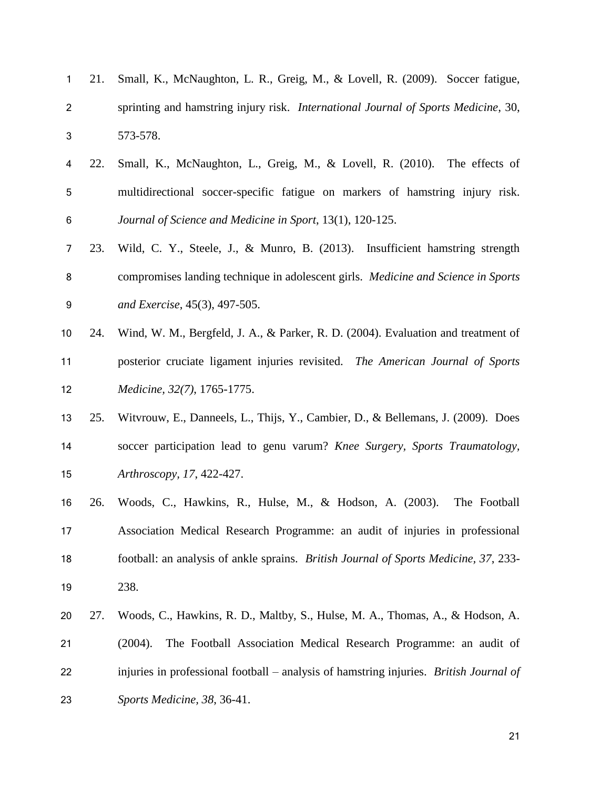| 1              | 21. | Small, K., McNaughton, L. R., Greig, M., & Lovell, R. (2009). Soccer fatigue,          |
|----------------|-----|----------------------------------------------------------------------------------------|
| $\overline{2}$ |     | sprinting and hamstring injury risk. International Journal of Sports Medicine, 30,     |
| 3              |     | 573-578.                                                                               |
| 4              | 22. | Small, K., McNaughton, L., Greig, M., & Lovell, R. (2010). The effects of              |
| 5              |     | multidirectional soccer-specific fatigue on markers of hamstring injury risk.          |
| 6              |     | Journal of Science and Medicine in Sport, 13(1), 120-125.                              |
| 7              | 23. | Wild, C. Y., Steele, J., & Munro, B. (2013). Insufficient hamstring strength           |
| 8              |     | compromises landing technique in adolescent girls. Medicine and Science in Sports      |
| 9              |     | and Exercise, 45(3), 497-505.                                                          |
| 10             | 24. | Wind, W. M., Bergfeld, J. A., & Parker, R. D. (2004). Evaluation and treatment of      |
| 11             |     | posterior cruciate ligament injuries revisited. The American Journal of Sports         |
| 12             |     | Medicine, 32(7), 1765-1775.                                                            |
| 13             | 25. | Witvrouw, E., Danneels, L., Thijs, Y., Cambier, D., & Bellemans, J. (2009). Does       |
| 14             |     | soccer participation lead to genu varum? Knee Surgery, Sports Traumatology,            |
| 15             |     | Arthroscopy, 17, 422-427.                                                              |
| 16             | 26. | Woods, C., Hawkins, R., Hulse, M., & Hodson, A. (2003).<br>The Football                |
| 17             |     | Association Medical Research Programme: an audit of injuries in professional           |
| 18             |     | football: an analysis of ankle sprains. British Journal of Sports Medicine, 37, 233-   |
| 19             |     | 238.                                                                                   |
| 20             | 27. | Woods, C., Hawkins, R. D., Maltby, S., Hulse, M. A., Thomas, A., & Hodson, A.          |
| 21             |     | The Football Association Medical Research Programme: an audit of<br>(2004).            |
| 22             |     | injuries in professional football – analysis of hamstring injuries. British Journal of |
| 23             |     | Sports Medicine, 38, 36-41.                                                            |
|                |     |                                                                                        |